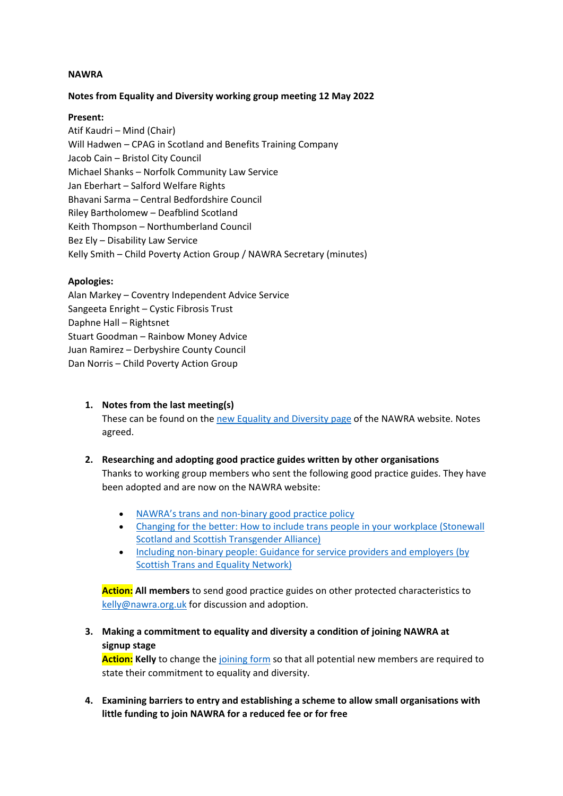#### **NAWRA**

### **Notes from Equality and Diversity working group meeting 12 May 2022**

#### **Present:**

Atif Kaudri – Mind (Chair) Will Hadwen – CPAG in Scotland and Benefits Training Company Jacob Cain – Bristol City Council Michael Shanks – Norfolk Community Law Service Jan Eberhart – Salford Welfare Rights Bhavani Sarma – Central Bedfordshire Council Riley Bartholomew – Deafblind Scotland Keith Thompson – Northumberland Council Bez Ely – Disability Law Service Kelly Smith – Child Poverty Action Group / NAWRA Secretary (minutes)

### **Apologies:**

Alan Markey – Coventry Independent Advice Service Sangeeta Enright – Cystic Fibrosis Trust Daphne Hall – Rightsnet Stuart Goodman – Rainbow Money Advice Juan Ramirez – Derbyshire County Council Dan Norris – Child Poverty Action Group

**1. Notes from the last meeting(s)** 

These can be found on the [new Equality and Diversity page](https://www.nawra.org.uk/about-nawra/equality-and-diversity/) of the NAWRA website. Notes agreed.

### **2. Researching and adopting good practice guides written by other organisations**

Thanks to working group members who sent the following good practice guides. They have been adopted and are now on the NAWRA website:

- [NAWRA's trans and non-binary good practice policy](https://www.nawra.org.uk/wordpress/wordpress/wp-content/uploads/2022/05/NAWRA-Trans-and-non-binary-good-practice-policy.pdf)
- [Changing for the better: How to include trans people in your workplace \(Stonewall](https://www.nawra.org.uk/wordpress/wordpress/wp-content/uploads/2022/05/Changing-for-the-better-how-to-include-trans-people-in-your-workplace-Stonewall-and-Scottish-Transgender-Alliance.pdf)  [Scotland and Scottish Transgender Alliance\)](https://www.nawra.org.uk/wordpress/wordpress/wp-content/uploads/2022/05/Changing-for-the-better-how-to-include-trans-people-in-your-workplace-Stonewall-and-Scottish-Transgender-Alliance.pdf)
- [Including non-binary people: Guidance for service providers and employers \(by](https://www.nawra.org.uk/wordpress/wordpress/wp-content/uploads/2022/05/Including-non-binary-people-guidance-for-service-providers-and-employers-Scottish-Trans-and-Equality-Network.pdf)  [Scottish Trans and Equality Network\)](https://www.nawra.org.uk/wordpress/wordpress/wp-content/uploads/2022/05/Including-non-binary-people-guidance-for-service-providers-and-employers-Scottish-Trans-and-Equality-Network.pdf)

**Action: All members** to send good practice guides on other protected characteristics to [kelly@nawra.org.uk](mailto:kelly@nawra.org.uk) for discussion and adoption.

**3. Making a commitment to equality and diversity a condition of joining NAWRA at signup stage**

**Action: Kelly** to change the [joining form](https://www.nawra.org.uk/about-nawra/join-nawra/) so that all potential new members are required to state their commitment to equality and diversity.

**4. Examining barriers to entry and establishing a scheme to allow small organisations with little funding to join NAWRA for a reduced fee or for free**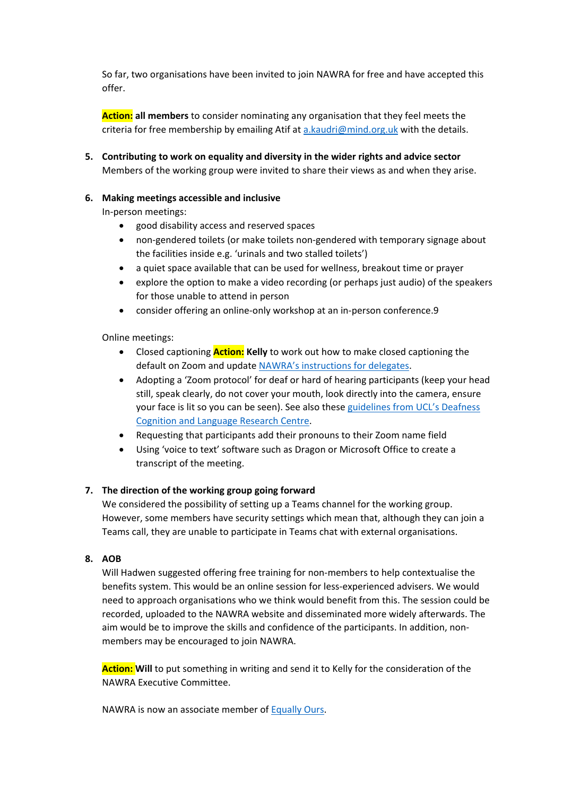So far, two organisations have been invited to join NAWRA for free and have accepted this offer.

**Action: all members** to consider nominating any organisation that they feel meets the criteria for free membership by emailing Atif at [a.kaudri@mind.org.uk](mailto:a.kaudri@mind.org.uk) with the details.

**5. Contributing to work on equality and diversity in the wider rights and advice sector** Members of the working group were invited to share their views as and when they arise.

# **6. Making meetings accessible and inclusive**

In-person meetings:

- good disability access and reserved spaces
- non-gendered toilets (or make toilets non-gendered with temporary signage about the facilities inside e.g. 'urinals and two stalled toilets')
- a quiet space available that can be used for wellness, breakout time or prayer
- explore the option to make a video recording (or perhaps just audio) of the speakers for those unable to attend in person
- consider offering an online-only workshop at an in-person conference.9

Online meetings:

- Closed captioning **Action: Kelly** to work out how to make closed captioning the default on Zoom and update [NAWRA's instructions for delegates.](https://www.nawra.org.uk/wordpress/wordpress/wp-content/uploads/2020/08/Top-tips-on-using-Zoom-to-attend-a-NAWRA-event.pdf)
- Adopting a 'Zoom protocol' for deaf or hard of hearing participants (keep your head still, speak clearly, do not cover your mouth, look directly into the camera, ensure your face is lit so you can be seen). See also these [guidelines from UCL's Deafness](https://www.ucl.ac.uk/dcal/sites/dcal/files/remote_working_guidelines_final_april_2020.pdf)  [Cognition and Language Research Centre.](https://www.ucl.ac.uk/dcal/sites/dcal/files/remote_working_guidelines_final_april_2020.pdf)
- Requesting that participants add their pronouns to their Zoom name field
- Using 'voice to text' software such as Dragon or Microsoft Office to create a transcript of the meeting.

### **7. The direction of the working group going forward**

We considered the possibility of setting up a Teams channel for the working group. However, some members have security settings which mean that, although they can join a Teams call, they are unable to participate in Teams chat with external organisations.

# **8. AOB**

Will Hadwen suggested offering free training for non-members to help contextualise the benefits system. This would be an online session for less-experienced advisers. We would need to approach organisations who we think would benefit from this. The session could be recorded, uploaded to the NAWRA website and disseminated more widely afterwards. The aim would be to improve the skills and confidence of the participants. In addition, nonmembers may be encouraged to join NAWRA.

**Action: Will** to put something in writing and send it to Kelly for the consideration of the NAWRA Executive Committee.

NAWRA is now an associate member of [Equally Ours.](https://www.equallyours.org.uk/)